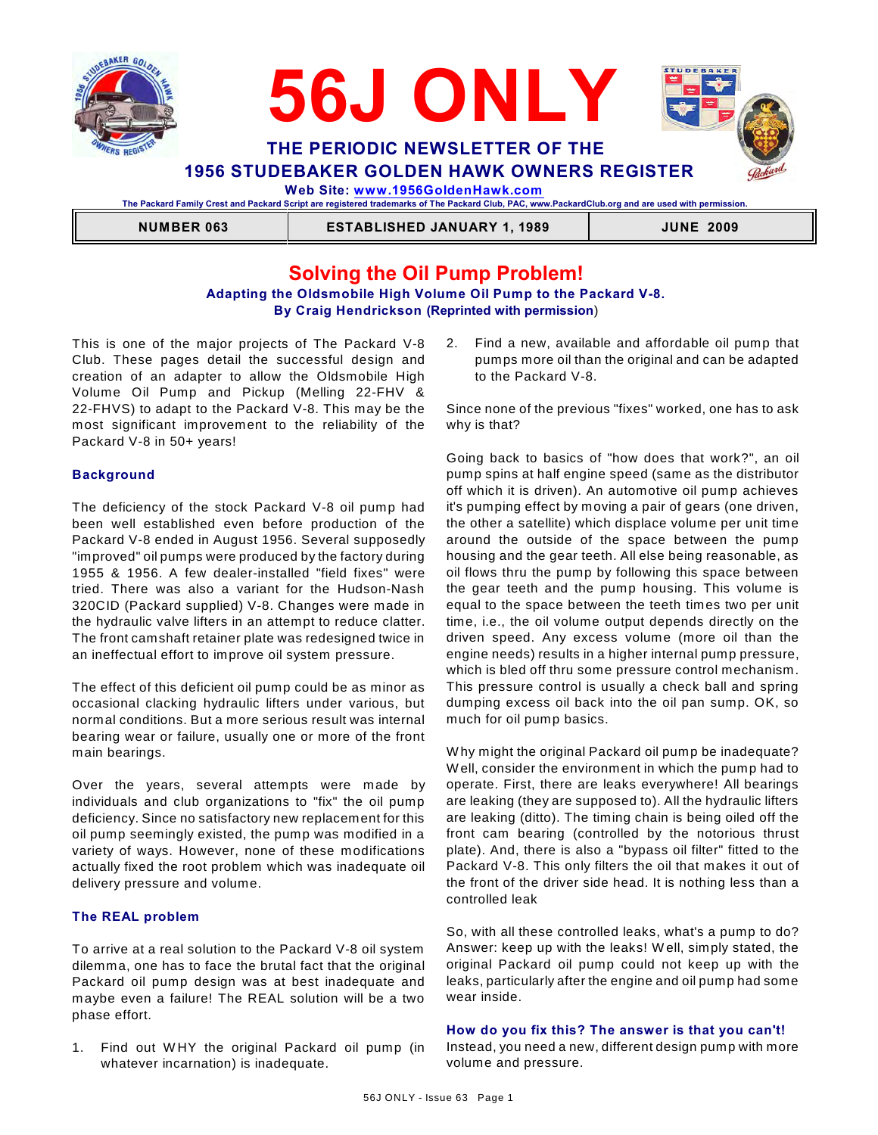



 **Web Site: [www.1956GoldenHawk.com](http://www.1956GoldenHawk.com)**

**The Packard Family Crest and Packard Script are registered trademarks of The Packard Club, PAC, www.PackardClub.org and are used with permission.** 

 **NUMBER 063 ESTABLISHED JANUARY 1, 1989 JUNE 2009**

# **Solving the Oil Pump Problem!**

### **Adapting the Oldsmobile High Volume Oil Pump to the Packard V-8. By Craig Hendrickson (Reprinted with permission**)

This is one of the major projects of The Packard V-8 Club. These pages detail the successful design and creation of an adapter to allow the Oldsmobile High Volume Oil Pump and Pickup (Melling 22-FHV & 22-FHVS) to adapt to the Packard V-8. This may be the most significant improvement to the reliability of the Packard V-8 in 50+ years!

### **Background**

The deficiency of the stock Packard V-8 oil pump had been well established even before production of the Packard V-8 ended in August 1956. Several supposedly "improved" oil pumps were produced by the factory during 1955 & 1956. A few dealer-installed "field fixes" were tried. There was also a variant for the Hudson-Nash 320CID (Packard supplied) V-8. Changes were made in the hydraulic valve lifters in an attempt to reduce clatter. The front camshaft retainer plate was redesigned twice in an ineffectual effort to improve oil system pressure.

The effect of this deficient oil pump could be as minor as occasional clacking hydraulic lifters under various, but normal conditions. But a more serious result was internal bearing wear or failure, usually one or more of the front main bearings.

Over the years, several attempts were made by individuals and club organizations to "fix" the oil pump deficiency. Since no satisfactory new replacement for this oil pump seemingly existed, the pump was modified in a variety of ways. However, none of these modifications actually fixed the root problem which was inadequate oil delivery pressure and volume.

### **The REAL problem**

To arrive at a real solution to the Packard V-8 oil system dilemma, one has to face the brutal fact that the original Packard oil pump design was at best inadequate and maybe even a failure! The REAL solution will be a two phase effort.

1. Find out W HY the original Packard oil pump (in whatever incarnation) is inadequate.

2. Find a new, available and affordable oil pump that pumps more oil than the original and can be adapted to the Packard V-8.

Since none of the previous "fixes" worked, one has to ask why is that?

Going back to basics of "how does that work?", an oil pump spins at half engine speed (same as the distributor off which it is driven). An automotive oil pump achieves it's pumping effect by moving a pair of gears (one driven, the other a satellite) which displace volume per unit time around the outside of the space between the pump housing and the gear teeth. All else being reasonable, as oil flows thru the pump by following this space between the gear teeth and the pump housing. This volume is equal to the space between the teeth times two per unit time, i.e., the oil volume output depends directly on the driven speed. Any excess volume (more oil than the engine needs) results in a higher internal pump pressure, which is bled off thru some pressure control mechanism. This pressure control is usually a check ball and spring dumping excess oil back into the oil pan sump. OK, so much for oil pump basics.

W hy might the original Packard oil pump be inadequate? W ell, consider the environment in which the pump had to operate. First, there are leaks everywhere! All bearings are leaking (they are supposed to). All the hydraulic lifters are leaking (ditto). The timing chain is being oiled off the front cam bearing (controlled by the notorious thrust plate). And, there is also a "bypass oil filter" fitted to the Packard V-8. This only filters the oil that makes it out of the front of the driver side head. It is nothing less than a controlled leak

So, with all these controlled leaks, what's a pump to do? Answer: keep up with the leaks! W ell, simply stated, the original Packard oil pump could not keep up with the leaks, particularly after the engine and oil pump had some wear inside.

**How do you fix this? The answer is that you can't!** Instead, you need a new, different design pump with more volume and pressure.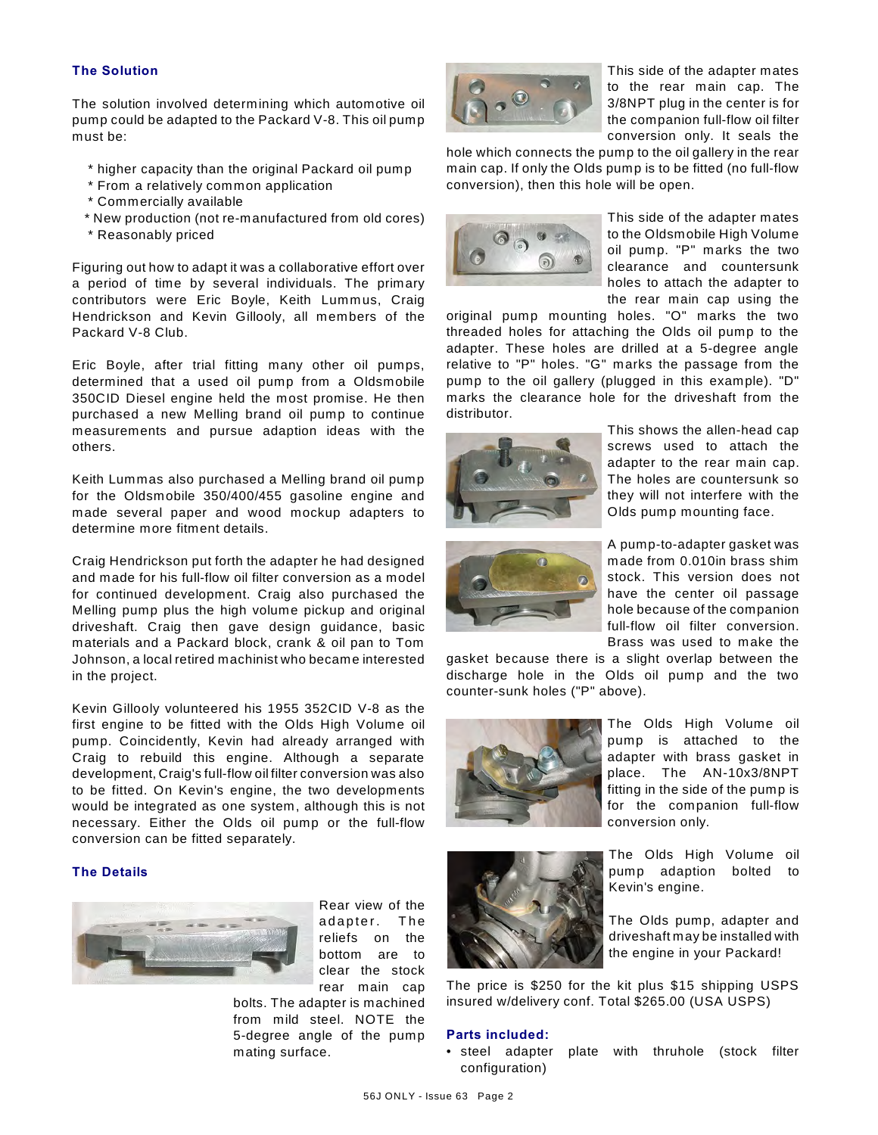### **The Solution**

The solution involved determining which automotive oil pump could be adapted to the Packard V-8. This oil pump must be:

- \* higher capacity than the original Packard oil pump
- \* From a relatively common application
- \* Commercially available
- \* New production (not re-manufactured from old cores)
- \* Reasonably priced

Figuring out how to adapt it was a collaborative effort over a period of time by several individuals. The primary contributors were Eric Boyle, Keith Lummus, Craig Hendrickson and Kevin Gillooly, all members of the Packard V-8 Club.

Eric Boyle, after trial fitting many other oil pumps, determined that a used oil pump from a Oldsmobile 350CID Diesel engine held the most promise. He then purchased a new Melling brand oil pump to continue measurements and pursue adaption ideas with the others.

Keith Lummas also purchased a Melling brand oil pump for the Oldsmobile 350/400/455 gasoline engine and made several paper and wood mockup adapters to determine more fitment details.

Craig Hendrickson put forth the adapter he had designed and made for his full-flow oil filter conversion as a model for continued development. Craig also purchased the Melling pump plus the high volume pickup and original driveshaft. Craig then gave design guidance, basic materials and a Packard block, crank & oil pan to Tom Johnson, a local retired machinist who became interested in the project.

Kevin Gillooly volunteered his 1955 352CID V-8 as the first engine to be fitted with the Olds High Volume oil pump. Coincidently, Kevin had already arranged with Craig to rebuild this engine. Although a separate development, Craig's full-flow oil filter conversion was also to be fitted. On Kevin's engine, the two developments would be integrated as one system, although this is not necessary. Either the Olds oil pump or the full-flow conversion can be fitted separately.

### **The Details**



Rear view of the adapter. The reliefs on the bottom are to clear the stock rear main cap

bolts. The adapter is machined from mild steel. NOTE the 5-degree angle of the pump mating surface.



This side of the adapter mates to the rear main cap. The 3/8NPT plug in the center is for the companion full-flow oil filter conversion only. It seals the

hole which connects the pump to the oil gallery in the rear main cap. If only the Olds pump is to be fitted (no full-flow conversion), then this hole will be open.



This side of the adapter mates to the Oldsmobile High Volume oil pump. "P" marks the two clearance and countersunk holes to attach the adapter to the rear main cap using the

original pump mounting holes. "O" marks the two threaded holes for attaching the Olds oil pump to the adapter. These holes are drilled at a 5-degree angle relative to "P" holes. "G" marks the passage from the pump to the oil gallery (plugged in this example). "D" marks the clearance hole for the driveshaft from the distributor.



This shows the allen-head cap screws used to attach the adapter to the rear main cap. The holes are countersunk so they will not interfere with the Olds pump mounting face.



A pump-to-adapter gasket was made from 0.010in brass shim stock. This version does not have the center oil passage hole because of the companion full-flow oil filter conversion. Brass was used to make the

gasket because there is a slight overlap between the discharge hole in the Olds oil pump and the two counter-sunk holes ("P" above).





The Olds High Volume oil pump adaption bolted to Kevin's engine.

The Olds pump, adapter and driveshaft may be installed with the engine in your Packard!

The price is \$250 for the kit plus \$15 shipping USPS insured w/delivery conf. Total \$265.00 (USA USPS)

### **Parts included:**

• steel adapter plate with thruhole (stock filter configuration)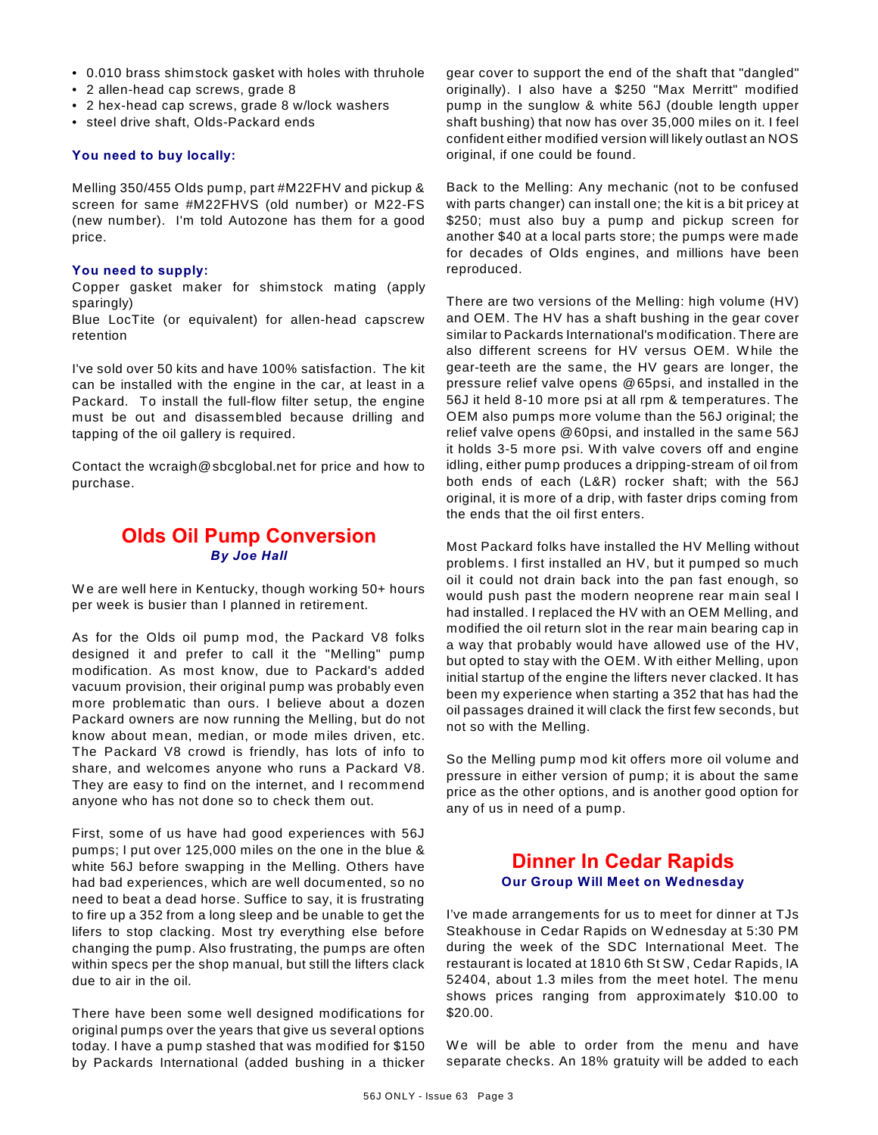- 0.010 brass shimstock gasket with holes with thruhole
- 2 allen-head cap screws, grade 8
- 2 hex-head cap screws, grade 8 w/lock washers
- steel drive shaft, Olds-Packard ends

### **You need to buy locally:**

Melling 350/455 Olds pump, part #M22FHV and pickup & screen for same #M22FHVS (old number) or M22-FS (new number). I'm told Autozone has them for a good price.

### **You need to supply:**

Copper gasket maker for shimstock mating (apply sparingly)

Blue LocTite (or equivalent) for allen-head capscrew retention

I've sold over 50 kits and have 100% satisfaction. The kit can be installed with the engine in the car, at least in a Packard. To install the full-flow filter setup, the engine must be out and disassembled because drilling and tapping of the oil gallery is required.

Contact the wcraigh@sbcglobal.net for price and how to purchase.

## **Olds Oil Pump Conversion** *By Joe Hall*

We are well here in Kentucky, though working 50+ hours per week is busier than I planned in retirement.

As for the Olds oil pump mod, the Packard V8 folks designed it and prefer to call it the "Melling" pump modification. As most know, due to Packard's added vacuum provision, their original pump was probably even more problematic than ours. I believe about a dozen Packard owners are now running the Melling, but do not know about mean, median, or mode miles driven, etc. The Packard V8 crowd is friendly, has lots of info to share, and welcomes anyone who runs a Packard V8. They are easy to find on the internet, and I recommend anyone who has not done so to check them out.

First, some of us have had good experiences with 56J pumps; I put over 125,000 miles on the one in the blue & white 56J before swapping in the Melling. Others have had bad experiences, which are well documented, so no need to beat a dead horse. Suffice to say, it is frustrating to fire up a 352 from a long sleep and be unable to get the lifers to stop clacking. Most try everything else before changing the pump. Also frustrating, the pumps are often within specs per the shop manual, but still the lifters clack due to air in the oil.

There have been some well designed modifications for original pumps over the years that give us several options today. I have a pump stashed that was modified for \$150 by Packards International (added bushing in a thicker gear cover to support the end of the shaft that "dangled" originally). I also have a \$250 "Max Merritt" modified pump in the sunglow & white 56J (double length upper shaft bushing) that now has over 35,000 miles on it. I feel confident either modified version will likely outlast an NOS original, if one could be found.

Back to the Melling: Any mechanic (not to be confused with parts changer) can install one; the kit is a bit pricey at \$250; must also buy a pump and pickup screen for another \$40 at a local parts store; the pumps were made for decades of Olds engines, and millions have been reproduced.

There are two versions of the Melling: high volume (HV) and OEM. The HV has a shaft bushing in the gear cover similar to Packards International's modification. There are also different screens for HV versus OEM. W hile the gear-teeth are the same, the HV gears are longer, the pressure relief valve opens @65psi, and installed in the 56J it held 8-10 more psi at all rpm & temperatures. The OEM also pumps more volume than the 56J original; the relief valve opens @60psi, and installed in the same 56J it holds 3-5 more psi. W ith valve covers off and engine idling, either pump produces a dripping-stream of oil from both ends of each (L&R) rocker shaft; with the 56J original, it is more of a drip, with faster drips coming from the ends that the oil first enters.

Most Packard folks have installed the HV Melling without problems. I first installed an HV, but it pumped so much oil it could not drain back into the pan fast enough, so would push past the modern neoprene rear main seal I had installed. I replaced the HV with an OEM Melling, and modified the oil return slot in the rear main bearing cap in a way that probably would have allowed use of the HV, but opted to stay with the OEM. W ith either Melling, upon initial startup of the engine the lifters never clacked. It has been my experience when starting a 352 that has had the oil passages drained it will clack the first few seconds, but not so with the Melling.

So the Melling pump mod kit offers more oil volume and pressure in either version of pump; it is about the same price as the other options, and is another good option for any of us in need of a pump.

## **Dinner In Cedar Rapids Our Group Will Meet on Wednesday**

I've made arrangements for us to meet for dinner at TJs Steakhouse in Cedar Rapids on W ednesday at 5:30 PM during the week of the SDC International Meet. The restaurant is located at 1810 6th St SW , Cedar Rapids, IA 52404, about 1.3 miles from the meet hotel. The menu shows prices ranging from approximately \$10.00 to \$20.00.

We will be able to order from the menu and have separate checks. An 18% gratuity will be added to each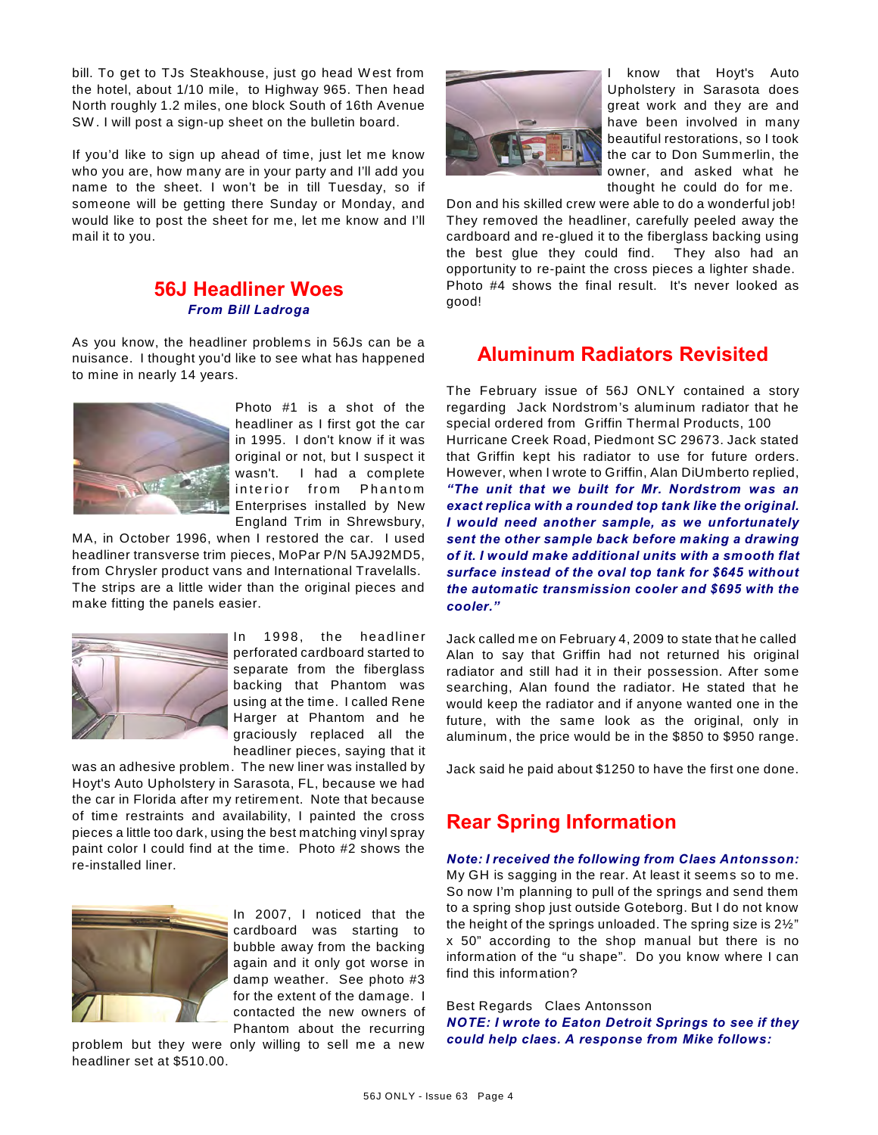bill. To get to TJs Steakhouse, just go head W est from the hotel, about 1/10 mile, to Highway 965. Then head North roughly 1.2 miles, one block South of 16th Avenue SW . I will post a sign-up sheet on the bulletin board.

If you'd like to sign up ahead of time, just let me know who you are, how many are in your party and I'll add you name to the sheet. I won't be in till Tuesday, so if someone will be getting there Sunday or Monday, and would like to post the sheet for me, let me know and I'll mail it to you.

## **56J Headliner Woes** *From Bill Ladroga*

As you know, the headliner problems in 56Js can be a nuisance. I thought you'd like to see what has happened to mine in nearly 14 years.



Photo #1 is a shot of the headliner as I first got the car in 1995. I don't know if it was original or not, but I suspect it wasn't. I had a complete interior from Phantom Enterprises installed by New England Trim in Shrewsbury,

MA, in October 1996, when I restored the car. I used headliner transverse trim pieces, MoPar P/N 5AJ92MD5, from Chrysler product vans and International Travelalls. The strips are a little wider than the original pieces and make fitting the panels easier.



In 1998, the headliner perforated cardboard started to separate from the fiberglass backing that Phantom was using at the time. I called Rene Harger at Phantom and he graciously replaced all the headliner pieces, saying that it

was an adhesive problem. The new liner was installed by Hoyt's Auto Upholstery in Sarasota, FL, because we had the car in Florida after my retirement. Note that because of time restraints and availability, I painted the cross pieces a little too dark, using the best matching vinyl spray paint color I could find at the time. Photo #2 shows the re-installed liner.



In 2007, I noticed that the cardboard was starting to bubble away from the backing again and it only got worse in damp weather. See photo #3 for the extent of the damage. I contacted the new owners of Phantom about the recurring

problem but they were only willing to sell me a new headliner set at \$510.00.



I know that Hoyt's Auto Upholstery in Sarasota does great work and they are and have been involved in many beautiful restorations, so I took the car to Don Summerlin, the owner, and asked what he thought he could do for me.

Don and his skilled crew were able to do a wonderful job! They removed the headliner, carefully peeled away the cardboard and re-glued it to the fiberglass backing using the best glue they could find. They also had an opportunity to re-paint the cross pieces a lighter shade. Photo #4 shows the final result. It's never looked as good!

# **Aluminum Radiators Revisited**

The February issue of 56J ONLY contained a story regarding Jack Nordstrom's aluminum radiator that he special ordered from Griffin Thermal Products, 100 Hurricane Creek Road, Piedmont SC 29673. Jack stated that Griffin kept his radiator to use for future orders. However, when I wrote to Griffin, Alan DiUmberto replied, *"The unit that we built for Mr. Nordstrom was an exact replica with a rounded top tank like the original. I would need another sample, as we unfortunately sent the other sample back before making a drawing of it. I would make additional units with a smooth flat surface instead of the oval top tank for \$645 without the automatic transmission cooler and \$695 with the cooler."*

Jack called me on February 4, 2009 to state that he called Alan to say that Griffin had not returned his original radiator and still had it in their possession. After some searching, Alan found the radiator. He stated that he would keep the radiator and if anyone wanted one in the future, with the same look as the original, only in aluminum, the price would be in the \$850 to \$950 range.

Jack said he paid about \$1250 to have the first one done.

# **Rear Spring Information**

*Note: I received the following from Claes Antonsson:* My GH is sagging in the rear. At least it seems so to me. So now I'm planning to pull of the springs and send them to a spring shop just outside Goteborg. But I do not know the height of the springs unloaded. The spring size is 2½" x 50" according to the shop manual but there is no information of the "u shape". Do you know where I can find this information?

Best Regards Claes Antonsson *NOTE: I wrote to Eaton Detroit Springs to see if they could help claes. A response from Mike follows:*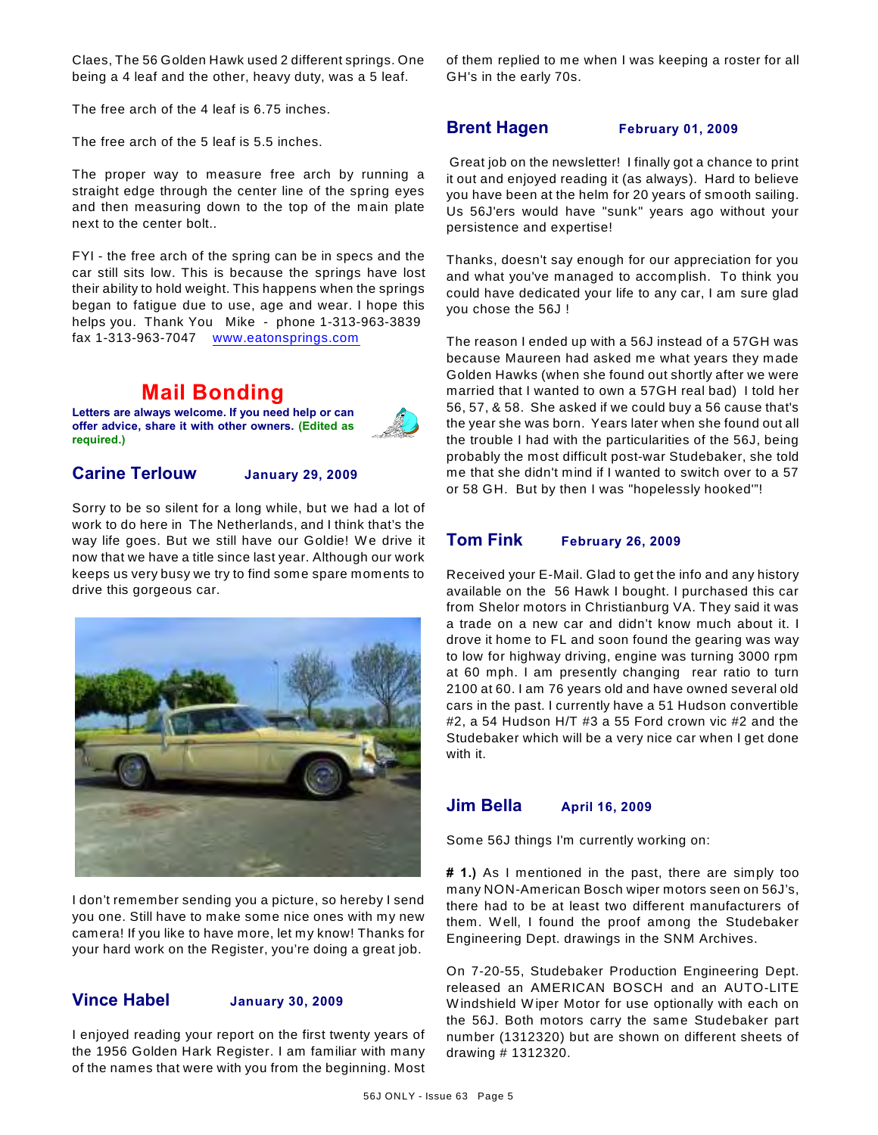Claes, The 56 Golden Hawk used 2 different springs. One being a 4 leaf and the other, heavy duty, was a 5 leaf.

The free arch of the 4 leaf is 6.75 inches.

The free arch of the 5 leaf is 5.5 inches.

The proper way to measure free arch by running a straight edge through the center line of the spring eyes and then measuring down to the top of the main plate next to the center bolt..

FYI - the free arch of the spring can be in specs and the car still sits low. This is because the springs have lost their ability to hold weight. This happens when the springs began to fatigue due to use, age and wear. I hope this helps you. Thank You Mike - phone 1-313-963-3839 fax 1-313-963-7047 [www.eatonsprings.com](http://www.eatonsprings.com)

# **Mail Bonding**

**Letters are always welcome. If you need help or can offer advice, share it with other owners. (Edited as required.)**



## **Carine Terlouw January 29, 2009**

Sorry to be so silent for a long while, but we had a lot of work to do here in The Netherlands, and I think that's the way life goes. But we still have our Goldie! We drive it now that we have a title since last year. Although our work keeps us very busy we try to find some spare moments to drive this gorgeous car.



I don't remember sending you a picture, so hereby I send you one. Still have to make some nice ones with my new camera! If you like to have more, let my know! Thanks for your hard work on the Register, you're doing a great job.

## **Vince Habel January 30, 2009**

I enjoyed reading your report on the first twenty years of the 1956 Golden Hark Register. I am familiar with many of the names that were with you from the beginning. Most of them replied to me when I was keeping a roster for all GH's in the early 70s.

## **Brent Hagen February 01, 2009**

 Great job on the newsletter! I finally got a chance to print it out and enjoyed reading it (as always). Hard to believe you have been at the helm for 20 years of smooth sailing. Us 56J'ers would have "sunk" years ago without your persistence and expertise!

Thanks, doesn't say enough for our appreciation for you and what you've managed to accomplish. To think you could have dedicated your life to any car, I am sure glad you chose the 56J !

The reason I ended up with a 56J instead of a 57GH was because Maureen had asked me what years they made Golden Hawks (when she found out shortly after we were married that I wanted to own a 57GH real bad) I told her 56, 57, & 58. She asked if we could buy a 56 cause that's the year she was born. Years later when she found out all the trouble I had with the particularities of the 56J, being probably the most difficult post-war Studebaker, she told me that she didn't mind if I wanted to switch over to a 57 or 58 GH. But by then I was "hopelessly hooked'"!

## **Tom Fink February 26, 2009**

Received your E-Mail. Glad to get the info and any history available on the 56 Hawk I bought. I purchased this car from Shelor motors in Christianburg VA. They said it was a trade on a new car and didn't know much about it. I drove it home to FL and soon found the gearing was way to low for highway driving, engine was turning 3000 rpm at 60 mph. I am presently changing rear ratio to turn 2100 at 60. I am 76 years old and have owned several old cars in the past. I currently have a 51 Hudson convertible #2, a 54 Hudson H/T #3 a 55 Ford crown vic #2 and the Studebaker which will be a very nice car when I get done with it.

## **Jim Bella April 16, 2009**

Some 56J things I'm currently working on:

**# 1.)** As I mentioned in the past, there are simply too many NON-American Bosch wiper motors seen on 56J's, there had to be at least two different manufacturers of them. W ell, I found the proof among the Studebaker Engineering Dept. drawings in the SNM Archives.

On 7-20-55, Studebaker Production Engineering Dept. released an AMERICAN BOSCH and an AUTO-LITE W indshield W iper Motor for use optionally with each on the 56J. Both motors carry the same Studebaker part number (1312320) but are shown on different sheets of drawing # 1312320.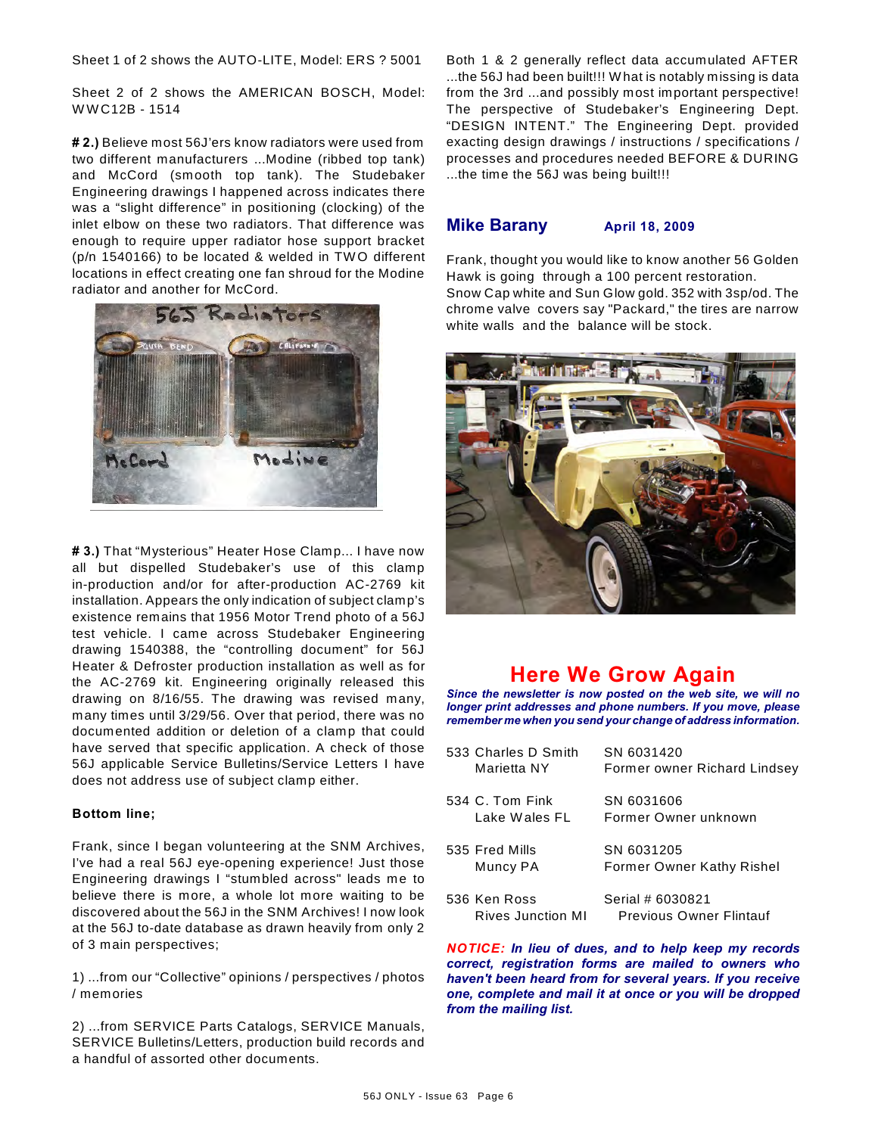Sheet 1 of 2 shows the AUTO-LITE, Model: ERS ? 5001

Sheet 2 of 2 shows the AMERICAN BOSCH, Model: W W C12B - 1514

**# 2.)** Believe most 56J'ers know radiators were used from two different manufacturers ...Modine (ribbed top tank) and McCord (smooth top tank). The Studebaker Engineering drawings I happened across indicates there was a "slight difference" in positioning (clocking) of the inlet elbow on these two radiators. That difference was enough to require upper radiator hose support bracket (p/n 1540166) to be located & welded in TW O different locations in effect creating one fan shroud for the Modine radiator and another for McCord.



**# 3.)** That "Mysterious" Heater Hose Clamp... I have now all but dispelled Studebaker's use of this clamp in-production and/or for after-production AC-2769 kit installation. Appears the only indication of subject clamp's existence remains that 1956 Motor Trend photo of a 56J test vehicle. I came across Studebaker Engineering drawing 1540388, the "controlling document" for 56J Heater & Defroster production installation as well as for the AC-2769 kit. Engineering originally released this drawing on 8/16/55. The drawing was revised many, many times until 3/29/56. Over that period, there was no documented addition or deletion of a clamp that could have served that specific application. A check of those 56J applicable Service Bulletins/Service Letters I have does not address use of subject clamp either.

### **Bottom line;**

Frank, since I began volunteering at the SNM Archives, I've had a real 56J eye-opening experience! Just those Engineering drawings I "stumbled across" leads me to believe there is more, a whole lot more waiting to be discovered about the 56J in the SNM Archives! I now look at the 56J to-date database as drawn heavily from only 2 of 3 main perspectives;

1) ...from our "Collective" opinions / perspectives / photos / memories

2) ...from SERVICE Parts Catalogs, SERVICE Manuals, SERVICE Bulletins/Letters, production build records and a handful of assorted other documents.

Both 1 & 2 generally reflect data accumulated AFTER ...the 56J had been built!!! W hat is notably missing is data from the 3rd ...and possibly most important perspective! The perspective of Studebaker's Engineering Dept. "DESIGN INTENT." The Engineering Dept. provided exacting design drawings / instructions / specifications / processes and procedures needed BEFORE & DURING ...the time the 56J was being built!!!

### **Mike Barany April 18, 2009**

Frank, thought you would like to know another 56 Golden Hawk is going through a 100 percent restoration. Snow Cap white and Sun Glow gold. 352 with 3sp/od. The chrome valve covers say "Packard," the tires are narrow white walls and the balance will be stock.



# **Here We Grow Again**

*Since the newsletter is now posted on the web site, we will no longer print addresses and phone numbers. If you move, please remember me when you send your change of address information.*

| 533 Charles D Smith<br>Marietta NY   | SN 6031420<br>Former owner Richard Lindsey         |
|--------------------------------------|----------------------------------------------------|
| $534\,$ C. Tom Fink<br>Lake Wales FL | SN 6031606<br>Former Owner unknown                 |
| 535 Fred Mills<br>Muncy PA           | SN 6031205<br>Former Owner Kathy Rishel            |
| 536 Ken Ross<br>Rives Junction MI    | Serial # 6030821<br><b>Previous Owner Flintauf</b> |

*NOTICE: In lieu of dues, and to help keep my records correct, registration forms are mailed to owners who haven't been heard from for several years. If you receive one, complete and mail it at once or you will be dropped from the mailing list.*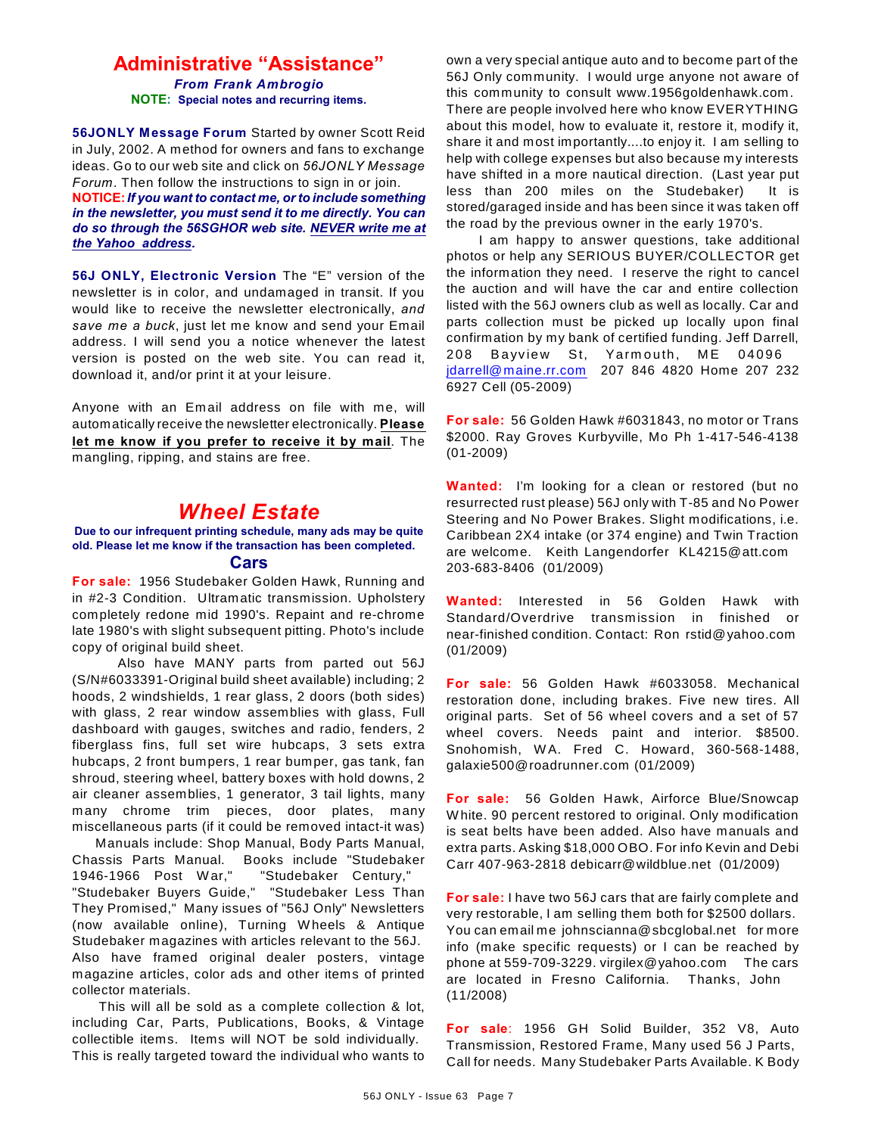# **Administrative "Assistance"**

*From Frank Ambrogio* **NOTE: Special notes and recurring items.**

**56JONLY Message Forum** Started by owner Scott Reid in July, 2002. A method for owners and fans to exchange ideas. Go to our web site and click on *56JONLY Message Forum*. Then follow the instructions to sign in or join. **NOTICE:***If you want to contact me, or to include something in the newsletter, you must send it to me directly. You can do so through the 56SGHOR web site. NEVER write me at the Yahoo address.*

**56J ONLY, Electronic Version** The "E" version of the newsletter is in color, and undamaged in transit. If you would like to receive the newsletter electronically, *and save me a buck*, just let me know and send your Email address. I will send you a notice whenever the latest version is posted on the web site. You can read it, download it, and/or print it at your leisure.

Anyone with an Email address on file with me, will automatically receive the newsletter electronically. **Please let me know if you prefer to receive it by mail**. The mangling, ripping, and stains are free.

# *Wheel Estate*

### **Due to our infrequent printing schedule, many ads may be quite old. Please let me know if the transaction has been completed.**

### **Cars**

**For sale:** 1956 Studebaker Golden Hawk, Running and in #2-3 Condition. Ultramatic transmission. Upholstery completely redone mid 1990's. Repaint and re-chrome late 1980's with slight subsequent pitting. Photo's include copy of original build sheet.

 Also have MANY parts from parted out 56J (S/N#6033391-Original build sheet available) including; 2 hoods, 2 windshields, 1 rear glass, 2 doors (both sides) with glass, 2 rear window assemblies with glass, Full dashboard with gauges, switches and radio, fenders, 2 fiberglass fins, full set wire hubcaps, 3 sets extra hubcaps, 2 front bumpers, 1 rear bumper, gas tank, fan shroud, steering wheel, battery boxes with hold downs, 2 air cleaner assemblies, 1 generator, 3 tail lights, many many chrome trim pieces, door plates, many miscellaneous parts (if it could be removed intact-it was)

 Manuals include: Shop Manual, Body Parts Manual, Chassis Parts Manual. Books include "Studebaker 1946-1966 Post W ar," "Studebaker Century," "Studebaker Buyers Guide," "Studebaker Less Than They Promised," Many issues of "56J Only" Newsletters (now available online), Turning W heels & Antique Studebaker magazines with articles relevant to the 56J. Also have framed original dealer posters, vintage magazine articles, color ads and other items of printed collector materials.

 This will all be sold as a complete collection & lot, including Car, Parts, Publications, Books, & Vintage collectible items. Items will NOT be sold individually. This is really targeted toward the individual who wants to own a very special antique auto and to become part of the 56J Only community. I would urge anyone not aware of this community to consult www.1956goldenhawk.com. There are people involved here who know EVERYTHING about this model, how to evaluate it, restore it, modify it, share it and most importantly....to enjoy it. I am selling to help with college expenses but also because my interests have shifted in a more nautical direction. (Last year put less than 200 miles on the Studebaker) It is stored/garaged inside and has been since it was taken off the road by the previous owner in the early 1970's.

 I am happy to answer questions, take additional photos or help any SERIOUS BUYER/COLLECTOR get the information they need. I reserve the right to cancel the auction and will have the car and entire collection listed with the 56J owners club as well as locally. Car and parts collection must be picked up locally upon final confirmation by my bank of certified funding. Jeff Darrell, 208 Bayview St, Yarmouth, ME 04096 [jdarrell@maine.rr.com](mailto:jdarrell@maine.rr.com) 207 846 4820 Home 207 232 6927 Cell (05-2009)

**For sale:** 56 Golden Hawk #6031843, no motor or Trans \$2000. Ray Groves Kurbyville, Mo Ph 1-417-546-4138 (01-2009)

**Wanted:** I'm looking for a clean or restored (but no resurrected rust please) 56J only with T-85 and No Power Steering and No Power Brakes. Slight modifications, i.e. Caribbean 2X4 intake (or 374 engine) and Twin Traction are welcome. Keith Langendorfer KL4215@att.com 203-683-8406 (01/2009)

**Wanted:** Interested in 56 Golden Hawk with Standard/Overdrive transmission in finished or near-finished condition. Contact: Ron rstid@yahoo.com (01/2009)

**For sale:** 56 Golden Hawk #6033058. Mechanical restoration done, including brakes. Five new tires. All original parts. Set of 56 wheel covers and a set of 57 wheel covers. Needs paint and interior. \$8500. Snohomish, W A. Fred C. Howard, 360-568-1488, galaxie500@roadrunner.com (01/2009)

**For sale:** 56 Golden Hawk, Airforce Blue/Snowcap W hite. 90 percent restored to original. Only modification is seat belts have been added. Also have manuals and extra parts. Asking \$18,000 OBO. For info Kevin and Debi Carr 407-963-2818 debicarr@wildblue.net (01/2009)

**For sale:** I have two 56J cars that are fairly complete and very restorable, I am selling them both for \$2500 dollars. You can email me johnscianna@sbcglobal.net for more info (make specific requests) or I can be reached by phone at 559-709-3229. virgilex@yahoo.com The cars are located in Fresno California. Thanks, John (11/2008)

**For sale**: 1956 GH Solid Builder, 352 V8, Auto Transmission, Restored Frame, Many used 56 J Parts, Call for needs. Many Studebaker Parts Available. K Body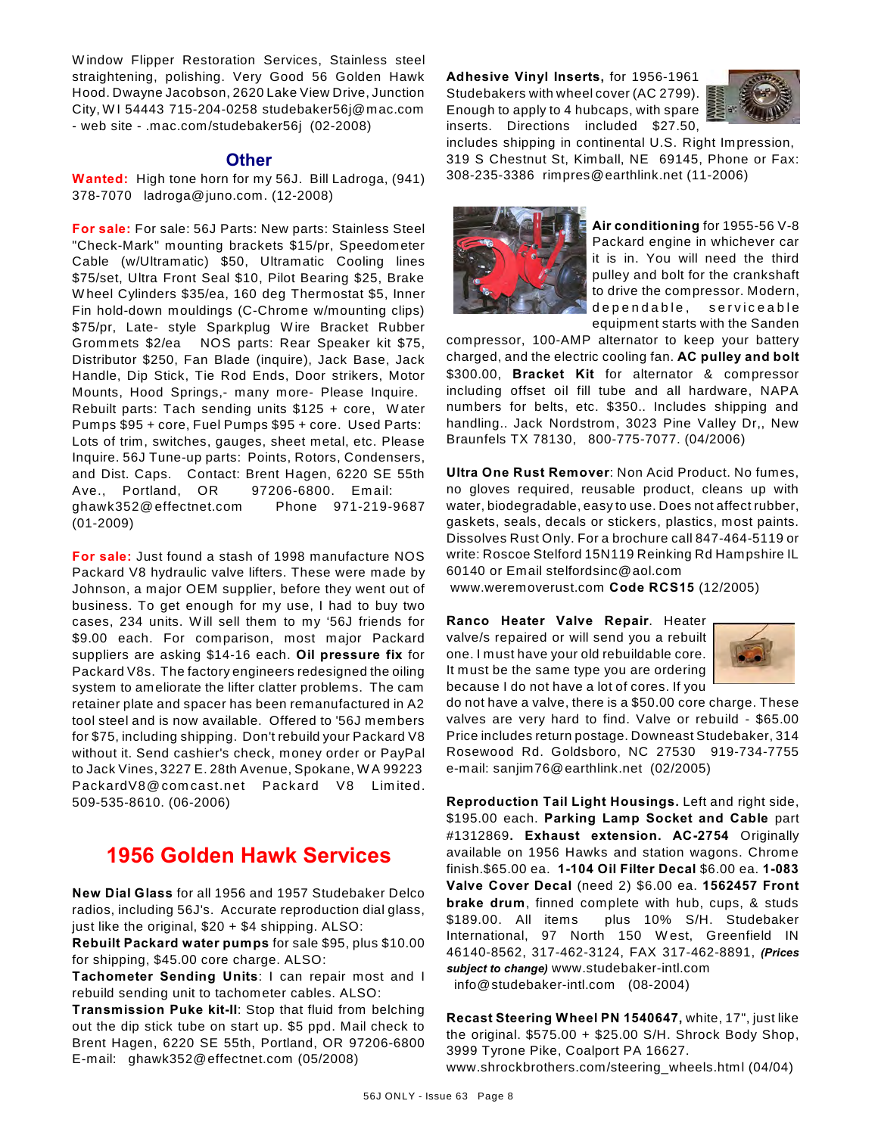W indow Flipper Restoration Services, Stainless steel straightening, polishing. Very Good 56 Golden Hawk Hood. Dwayne Jacobson, 2620 Lake View Drive, Junction City, W I 54443 715-204-0258 studebaker56j@mac.com - web site - .mac.com/studebaker56j (02-2008)

### **Other**

**Wanted:** High tone horn for my 56J. Bill Ladroga, (941) 378-7070 ladroga@juno.com. (12-2008)

**For sale:** For sale: 56J Parts: New parts: Stainless Steel "Check-Mark" mounting brackets \$15/pr, Speedometer Cable (w/Ultramatic) \$50, Ultramatic Cooling lines \$75/set, Ultra Front Seal \$10, Pilot Bearing \$25, Brake W heel Cylinders \$35/ea, 160 deg Thermostat \$5, Inner Fin hold-down mouldings (C-Chrome w/mounting clips) \$75/pr, Late- style Sparkplug W ire Bracket Rubber Grommets \$2/ea NOS parts: Rear Speaker kit \$75, Distributor \$250, Fan Blade (inquire), Jack Base, Jack Handle, Dip Stick, Tie Rod Ends, Door strikers, Motor Mounts, Hood Springs,- many more- Please Inquire. Rebuilt parts: Tach sending units \$125 + core, W ater Pumps \$95 + core, Fuel Pumps \$95 + core. Used Parts: Lots of trim, switches, gauges, sheet metal, etc. Please Inquire. 56J Tune-up parts: Points, Rotors, Condensers, and Dist. Caps. Contact: Brent Hagen, 6220 SE 55th Ave., Portland, OR 97206-6800. Em ail: ghawk352@effectnet.com Phone 971-219-9687 (01-2009)

**For sale:** Just found a stash of 1998 manufacture NOS Packard V8 hydraulic valve lifters. These were made by Johnson, a major OEM supplier, before they went out of business. To get enough for my use, I had to buy two cases, 234 units. W ill sell them to my '56J friends for \$9.00 each. For comparison, most major Packard suppliers are asking \$14-16 each. **Oil pressure fix** for Packard V8s. The factory engineers redesigned the oiling system to ameliorate the lifter clatter problems. The cam retainer plate and spacer has been remanufactured in A2 tool steel and is now available. Offered to '56J members for \$75, including shipping. Don't rebuild your Packard V8 without it. Send cashier's check, money order or PayPal to Jack Vines, 3227 E. 28th Avenue, Spokane, W A 99223 PackardV8@comcast.net Packard V8 Limited. 509-535-8610. (06-2006)

# **1956 Golden Hawk Services**

**New Dial Glass** for all 1956 and 1957 Studebaker Delco radios, including 56J's. Accurate reproduction dial glass, just like the original, \$20 + \$4 shipping. ALSO:

**Rebuilt Packard water pumps** for sale \$95, plus \$10.00 for shipping, \$45.00 core charge. ALSO:

**Tachometer Sending Units**: I can repair most and I rebuild sending unit to tachometer cables. ALSO:

**Transmission Puke kit-II**: Stop that fluid from belching out the dip stick tube on start up. \$5 ppd. Mail check to Brent Hagen, 6220 SE 55th, Portland, OR 97206-6800 E-mail: ghawk352@effectnet.com (05/2008)

**Adhesive Vinyl Inserts,** for 1956-1961 Studebakers with wheel cover (AC 2799). Enough to apply to 4 hubcaps, with spare inserts. Directions included \$27.50,



includes shipping in continental U.S. Right Impression, 319 S Chestnut St, Kimball, NE 69145, Phone or Fax: 308-235-3386 rimpres@earthlink.net (11-2006)



**Air conditioning** for 1955-56 V-8 Packard engine in whichever car it is in. You will need the third pulley and bolt for the crankshaft to drive the compressor. Modern, dependable, serviceable equipment starts with the Sanden

compressor, 100-AMP alternator to keep your battery charged, and the electric cooling fan. **AC pulley and bolt** \$300.00, **Bracket Kit** for alternator & compressor including offset oil fill tube and all hardware, NAPA numbers for belts, etc. \$350.. Includes shipping and handling.. Jack Nordstrom, 3023 Pine Valley Dr,, New Braunfels TX 78130, 800-775-7077. (04/2006)

**Ultra One Rust Remover**: Non Acid Product. No fumes, no gloves required, reusable product, cleans up with water, biodegradable, easy to use. Does not affect rubber, gaskets, seals, decals or stickers, plastics, most paints. Dissolves Rust Only. For a brochure call 847-464-5119 or write: Roscoe Stelford 15N119 Reinking Rd Hampshire IL 60140 or Email stelfordsinc@aol.com

www.weremoverust.com **Code RCS15** (12/2005)

**Ranco Heater Valve Repair**. Heater valve/s repaired or will send you a rebuilt one. I must have your old rebuildable core. It must be the same type you are ordering because I do not have a lot of cores. If you



do not have a valve, there is a \$50.00 core charge. These valves are very hard to find. Valve or rebuild - \$65.00 Price includes return postage. Downeast Studebaker, 314 Rosewood Rd. Goldsboro, NC 27530 919-734-7755 e-mail: sanjim76@earthlink.net (02/2005)

**Reproduction Tail Light Housings.** Left and right side, \$195.00 each. **Parking Lamp Socket and Cable** part #1312869**. Exhaust extension. AC-2754** Originally available on 1956 Hawks and station wagons. Chrome finish.\$65.00 ea. **1-104 Oil Filter Decal** \$6.00 ea. **1-083 Valve Cover Decal** (need 2) \$6.00 ea. **1562457 Front brake drum**, finned complete with hub, cups, & studs \$189.00. All items plus 10% S/H. Studebaker International, 97 North 150 W est, Greenfield IN 46140-8562, 317-462-3124, FAX 317-462-8891, *(Prices subject to change)* www.studebaker-intl.com info@studebaker-intl.com (08-2004)

**Recast Steering Wheel PN 1540647,** white, 17", just like the original. \$575.00 + \$25.00 S/H. Shrock Body Shop, 3999 Tyrone Pike, Coalport PA 16627. www.shrockbrothers.com/steering\_wheels.html (04/04)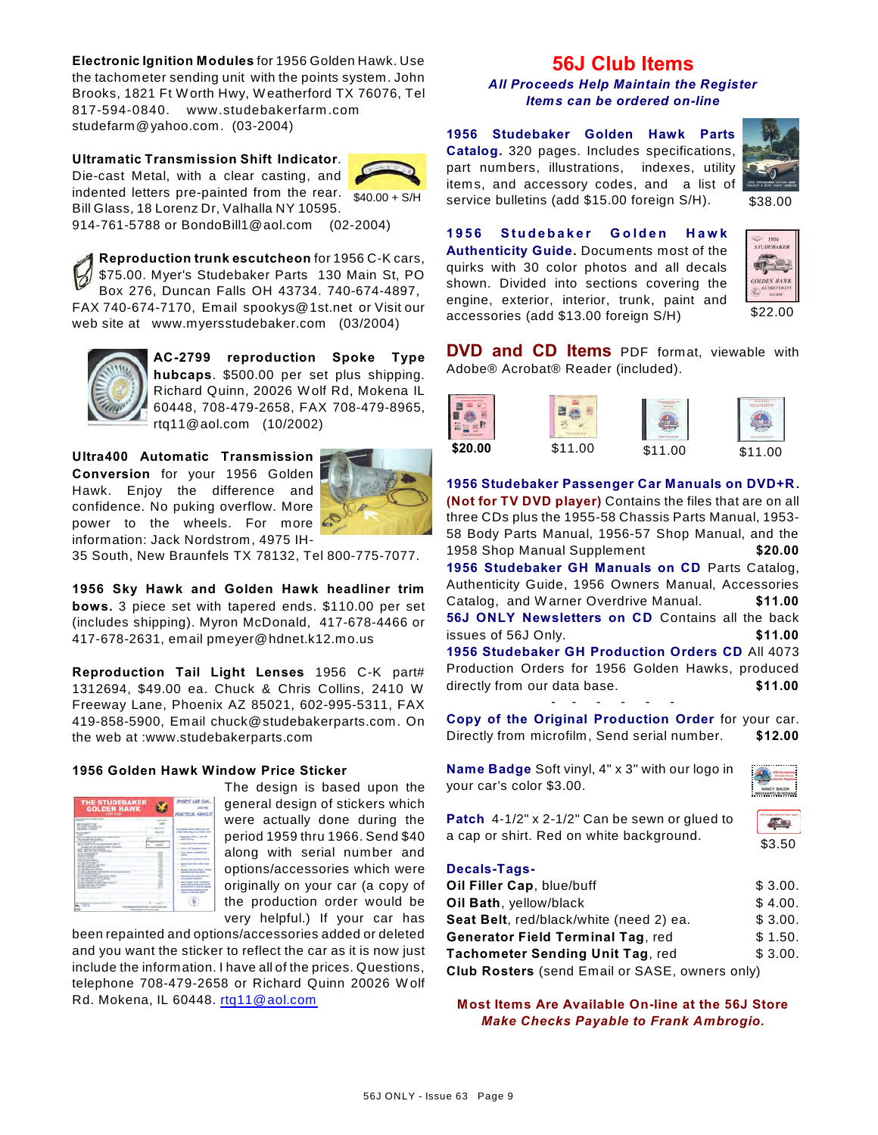**Electronic Ignition Modules** for 1956 Golden Hawk. Use the tachometer sending unit with the points system. John Brooks, 1821 Ft W orth Hwy, W eatherford TX 76076, Tel 817-594-0840. www.studebakerfarm .com studefarm@yahoo.com. (03-2004)

**Ultramatic Transmission Shift Indicator**. Die-cast Metal, with a clear casting, and indented letters pre-painted from the rear. Bill Glass, 18 Lorenz Dr, Valhalla NY 10595.



914-761-5788 or BondoBill1@aol.com (02-2004)

**Reproduction trunk escutcheon** for 1956 C-K cars, \$75.00. Myer's Studebaker Parts 130 Main St, PO Box 276, Duncan Falls OH 43734. 740-674-4897, FAX 740-674-7170, Email spookys@1st.net or Visit our web site at www.myersstudebaker.com (03/2004)



**AC-2799 reproduction Spoke Type hubcaps**. \$500.00 per set plus shipping. Richard Quinn, 20026 W olf Rd, Mokena IL 60448, 708-479-2658, FAX 708-479-8965, rtq11@aol.com (10/2002)

**Ultra400 Automatic Transmission Conversion** for your 1956 Golden Hawk. Enjoy the difference and confidence. No puking overflow. More power to the wheels. For more information: Jack Nordstrom, 4975 IH-



35 South, New Braunfels TX 78132, Tel 800-775-7077.

**1956 Sky Hawk and Golden Hawk headliner trim bows.** 3 piece set with tapered ends. \$110.00 per set (includes shipping). Myron McDonald, 417-678-4466 or 417-678-2631, email pmeyer@hdnet.k12.mo.us

**Reproduction Tail Light Lenses** 1956 C-K part# 1312694, \$49.00 ea. Chuck & Chris Collins, 2410 W Freeway Lane, Phoenix AZ 85021, 602-995-5311, FAX 419-858-5900, Email chuck@studebakerparts.com. On the web at :www.studebakerparts.com

### **1956 Golden Hawk Window Price Sticker**

| <b>THE STUDEBAKER</b><br><b>GOLDEN HAWK</b><br><b>FOR HIM</b>                                                                                                                                                                                                                                                                                                                                                                                                                                                                                                                                                                                                                                                                                                                                                                                                                                            | SPORTS CAR FUN<br><b>PRACTICAL GRAETLY</b>                                                                                                                                                                                                                                                                                                                                                                                                                                                                                                                                                                                                                              |
|----------------------------------------------------------------------------------------------------------------------------------------------------------------------------------------------------------------------------------------------------------------------------------------------------------------------------------------------------------------------------------------------------------------------------------------------------------------------------------------------------------------------------------------------------------------------------------------------------------------------------------------------------------------------------------------------------------------------------------------------------------------------------------------------------------------------------------------------------------------------------------------------------------|-------------------------------------------------------------------------------------------------------------------------------------------------------------------------------------------------------------------------------------------------------------------------------------------------------------------------------------------------------------------------------------------------------------------------------------------------------------------------------------------------------------------------------------------------------------------------------------------------------------------------------------------------------------------------|
| <b>December And And And Trees</b><br>--<br><b>META ARMYY AV</b><br>FA MOLT LENTING, BUT<br>the anticity at Agenta<br><b>Business Manager</b><br>$\sim$<br>at the at intradicted for countries and in a trans-<br>to exceed at three -<br>Children and the<br>\$1.673 kinds (\$3.5% rates 236 of<br>Integra 615 are leased a Bust Freezen<br><b>MARCHELL</b><br>a day beneficiaries at<br>î<br><b>Profit contract</b><br>THE R. P. LEWIS<br>۰<br>AMERICAN MALE<br>all chap that a chap for-<br>۰<br><b>ALLINE COUNTY</b><br>and a state control<br>٠<br>All Links Antonio and contract<br>۰<br>all credit C. Max Conta is the record<br>۰<br>all 27th and resolution of<br>٠<br>all since boost affordity and point it allows<br>all costs and though art and concentra-<br>at 21 Warehout Ave.<br>at 17th century in this to enter of these art<br>attained and was the times<br><b>COMPANY AND SHOW</b> | <b>This Assessed Monach address and all</b><br>of the following at 14 month cost<br>a company of the contracts<br><b>COLORADO</b><br>your CAS is simply con-<br><b>STOR &amp; LIST Selections Store</b><br>Lake begins of building by<br>÷<br><b>Color</b><br><b>Replace to Automobile Profits</b><br>Specia has fixed with court<br>-<br><b>Radiat con Associations</b> In<br><b>Astronomed Automotive Section</b><br><b>Recording these fixed book for a</b><br><b>Mind saider authorities</b><br>have direct your streamed<br><b>Staff Hallmarket agent work</b><br><b>School &amp; Holland and</b><br>North American Septimal Division<br>color or court was stark. |
| ALC: Y<br><b>COARS CANTAINS STRATEGY</b>                                                                                                                                                                                                                                                                                                                                                                                                                                                                                                                                                                                                                                                                                                                                                                                                                                                                 |                                                                                                                                                                                                                                                                                                                                                                                                                                                                                                                                                                                                                                                                         |

The design is based upon the general design of stickers which were actually done during the period 1959 thru 1966. Send \$40 along with serial number and options/accessories which were originally on your car (a copy of the production order would be very helpful.) If your car has

been repainted and options/accessories added or deleted and you want the sticker to reflect the car as it is now just include the information. I have all of the prices. Questions, telephone 708-479-2658 or Richard Quinn 20026 W olf Rd. Mokena, IL 60448. [rtq11@aol.com](mailto:rtq11@aol.com)

# **56J Club Items**

*All Proceeds Help Maintain the Register Items can be ordered on-line*

\$40.00 + S/H service bulletins (add \$15.00 foreign S/H). \$38.00 **1956 Studebaker Golden Hawk Parts Catalog.** 320 pages. Includes specifications, part numbers, illustrations, indexes, utility items, and accessory codes, and a list of



**1956 Studebaker Golden Hawk Authenticity Guide.** Documents most of the quirks with 30 color photos and all decals shown. Divided into sections covering the engine, exterior, interior, trunk, paint and accessories (add \$13.00 foreign S/H)



**DVD and CD Items** PDF format, viewable with Adobe® Acrobat® Reader (included).

|         |         |         | <b>The Real Property</b> |
|---------|---------|---------|--------------------------|
| \$20.00 | \$11.00 | \$11.00 | \$11.<br>∩∩              |

**1956 Studebaker Passenger Car Manuals on DVD+R. (Not for TV DVD player)** Contains the files that are on all three CDs plus the 1955-58 Chassis Parts Manual, 1953- 58 Body Parts Manual, 1956-57 Shop Manual, and the 1958 Shop Manual Supplement **\$20.00 1956 Studebaker GH Manuals on CD** Parts Catalog, Authenticity Guide, 1956 Owners Manual, Accessories Catalog, and W arner Overdrive Manual. **\$11.00 56J ONLY Newsletters on CD** Contains all the back issues of 56J Only. **\$11.00 1956 Studebaker GH Production Orders CD** All 4073 Production Orders for 1956 Golden Hawks, produced directly from our data base. **\$11.00** 

**Copy of the Original Production Order** for your car. Directly from microfilm, Send serial number. **\$12.00**

- - - - - -

**Name Badge** Soft vinyl, 4" x 3" with our logo in your car's color \$3.00.



**Patch** 4-1/2" x 2-1/2" Can be sewn or glued to a cap or shirt. Red on white background.



**Decals-Tags-**

| Oil Filler Cap, blue/buff                             | \$3.00. |
|-------------------------------------------------------|---------|
| Oil Bath, yellow/black                                | \$4.00. |
| Seat Belt, red/black/white (need 2) ea.               | \$3.00. |
| <b>Generator Field Terminal Tag, red</b>              | \$1.50. |
| Tachometer Sending Unit Tag, red                      | \$3.00. |
| <b>Club Rosters</b> (send Email or SASE, owners only) |         |

**Most Items Are Available On-line at the 56J Store** *Make Checks Payable to Frank Ambrogio.*